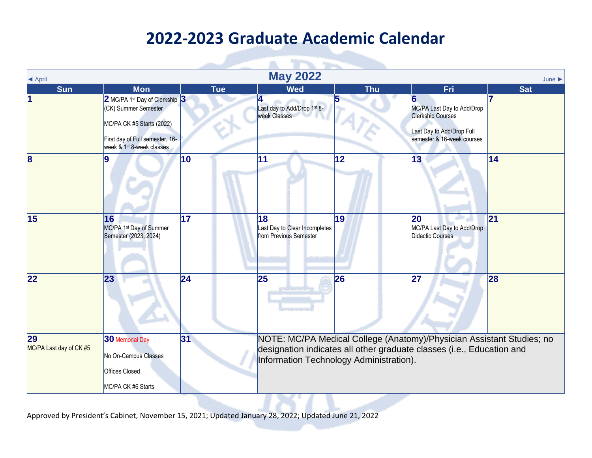| <b>E</b> April                |                                                                                                                                                                             |            | <b>May 2022</b>                                               |              |                                                                                                                                                | June       |
|-------------------------------|-----------------------------------------------------------------------------------------------------------------------------------------------------------------------------|------------|---------------------------------------------------------------|--------------|------------------------------------------------------------------------------------------------------------------------------------------------|------------|
| <b>Sun</b>                    | <b>Mon</b>                                                                                                                                                                  | <b>Tue</b> | <b>Wed</b>                                                    | <b>Thu</b>   | Fri                                                                                                                                            | <b>Sat</b> |
|                               | 2 MC/PA 1 <sup>st</sup> Day of Clerkship 3<br>(CK) Summer Semester<br>MC/PA CK #5 Starts (2022)<br>First day of Full semester, 16-<br>week & 1 <sup>st</sup> 8-week classes |            | Last day to Add/Drop 1st 8-<br><b>week Classes</b>            | 5            | MC/PA Last Day to Add/Drop<br><b>Clerkship Courses</b><br>Last Day to Add/Drop Full<br>semester & 16-week courses                              |            |
| $\overline{\mathbf{8}}$       |                                                                                                                                                                             | 10         | 11                                                            | $ 12\rangle$ | 13                                                                                                                                             | 14         |
| $\overline{15}$               | 16<br>MC/PA 1 <sup>st</sup> Day of Summer<br>Semester (2023, 2024)                                                                                                          | 17         | 18<br>Last Day to Clear Incompletes<br>from Previous Semester | 19           | 20<br>MC/PA Last Day to Add/Drop<br><b>Didactic Courses</b>                                                                                    | 21         |
| 22                            | 23                                                                                                                                                                          | 24         | 25                                                            | 26           | 27                                                                                                                                             | 28         |
| 29<br>MC/PA Last day of CK #5 | 30 Memorial Day<br>No On-Campus Classes<br>Offices Closed<br>MC/PA CK #6 Starts                                                                                             | 31         | Information Technology Administration).                       |              | NOTE: MC/PA Medical College (Anatomy)/Physician Assistant Studies; no<br>designation indicates all other graduate classes (i.e., Education and |            |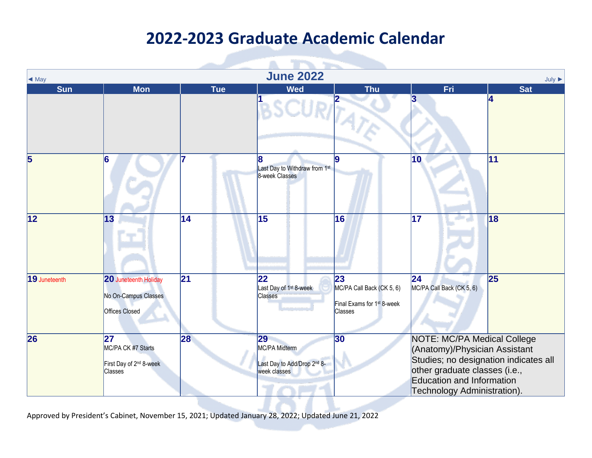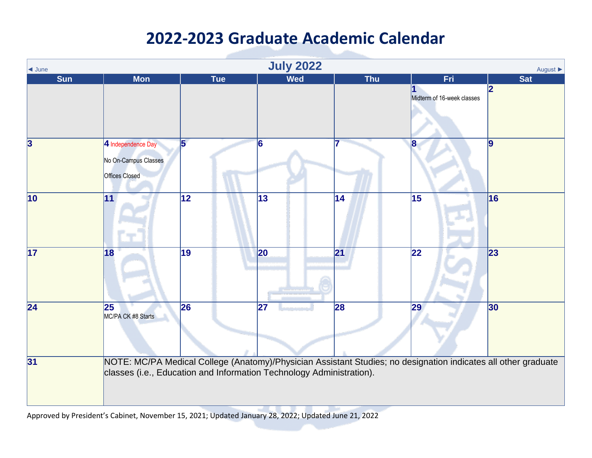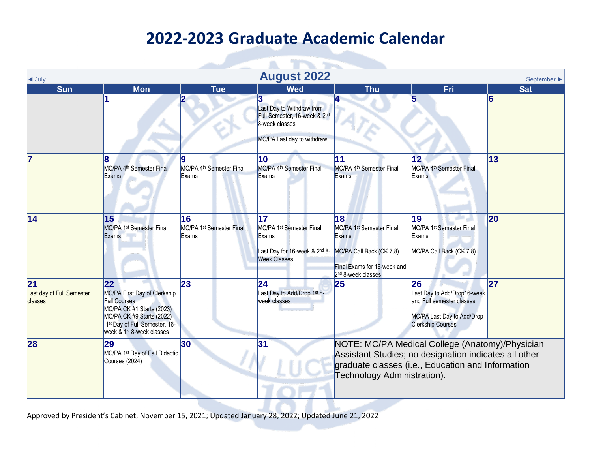$\sim$ 

| $\blacktriangleleft$ July                               |                                                                                                                                                                                                         |                                                     | <b>August 2022</b>                                                                                             |                                                                                                                                                  |                                                                                                                                                               | September $\blacktriangleright$ |
|---------------------------------------------------------|---------------------------------------------------------------------------------------------------------------------------------------------------------------------------------------------------------|-----------------------------------------------------|----------------------------------------------------------------------------------------------------------------|--------------------------------------------------------------------------------------------------------------------------------------------------|---------------------------------------------------------------------------------------------------------------------------------------------------------------|---------------------------------|
| <b>Sun</b>                                              | <b>Mon</b>                                                                                                                                                                                              | <b>Tue</b>                                          | <b>Wed</b>                                                                                                     | <b>Thu</b>                                                                                                                                       | Fri                                                                                                                                                           | <b>Sat</b>                      |
|                                                         |                                                                                                                                                                                                         |                                                     | 3<br>Last Day to Withdraw from<br>Full Semester, 16-week & 2nd<br>8-week classes<br>MC/PA Last day to withdraw |                                                                                                                                                  |                                                                                                                                                               | 6                               |
| 7                                                       | MC/PA 4 <sup>th</sup> Semester Final<br>Exams                                                                                                                                                           | MC/PA 4 <sup>th</sup> Semester Final<br>Exams       | 10<br>MC/PA 4 <sup>th</sup> Semester Final<br>Exams                                                            | 11<br>MC/PA 4 <sup>th</sup> Semester Final<br>Exams                                                                                              | 12<br>MC/PA 4 <sup>th</sup> Semester Final<br>Exams                                                                                                           | 13                              |
| 14                                                      | 15<br>MC/PA 1 <sup>st</sup> Semester Final<br>Exams                                                                                                                                                     | 16<br>MC/PA 1 <sup>st</sup> Semester Final<br>Exams | 17<br>MC/PA 1 <sup>st</sup> Semester Final<br>Exams<br>Last Day for 16-week & 2nd 8-<br><b>Week Classes</b>    | 18<br>MC/PA 1 <sup>st</sup> Semester Final<br>Exams<br>MC/PA Call Back (CK 7,8)<br>Final Exams for 16-week and<br>2 <sup>nd</sup> 8-week classes | 19<br>MC/PA 1 <sup>st</sup> Semester Final<br>Exams<br>MC/PA Call Back (CK 7,8)                                                                               | 20                              |
| $\overline{21}$<br>Last day of Full Semester<br>classes | $ 22\rangle$<br>MC/PA First Day of Clerkship<br><b>Fall Courses</b><br>MC/PA CK #1 Starts (2023)<br>MC/PA CK #9 Starts (2022)<br>1st Day of Full Semester, 16-<br>week & 1 <sup>st</sup> 8-week classes | 23                                                  | 24<br>Last Day to Add/Drop 1 <sup>st</sup> 8-<br>week classes                                                  | 25                                                                                                                                               | 26<br>Last Day to Add/Drop16-week<br>and Full semester classes<br>MC/PA Last Day to Add/Drop<br><b>Clerkship Courses</b>                                      | 27                              |
| 28                                                      | 29<br>MC/PA 1 <sup>st</sup> Day of Fall Didactic<br>Courses (2024)                                                                                                                                      | 30                                                  | 31                                                                                                             | Technology Administration).                                                                                                                      | NOTE: MC/PA Medical College (Anatomy)/Physician<br>Assistant Studies; no designation indicates all other<br>graduate classes (i.e., Education and Information |                                 |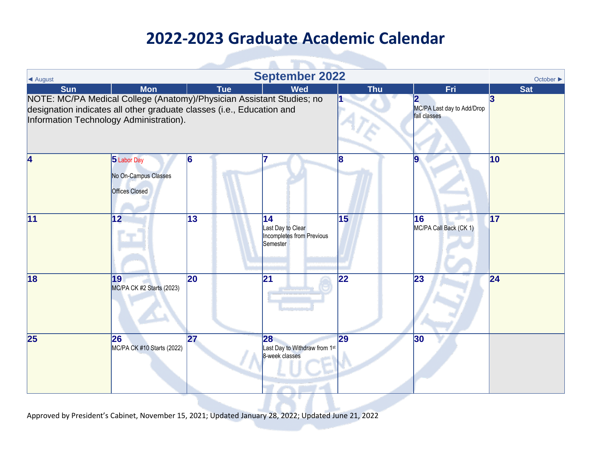| ▲ August                                                                                                                                                                                  |                                                              |                 | <b>September 2022</b>                                             |            |                                            | October ▶       |
|-------------------------------------------------------------------------------------------------------------------------------------------------------------------------------------------|--------------------------------------------------------------|-----------------|-------------------------------------------------------------------|------------|--------------------------------------------|-----------------|
| <b>Sun</b>                                                                                                                                                                                | <b>Mon</b>                                                   | <b>Tue</b>      | <b>Wed</b>                                                        | <b>Thu</b> | Fri                                        | <b>Sat</b>      |
| NOTE: MC/PA Medical College (Anatomy)/Physician Assistant Studies; no<br>designation indicates all other graduate classes (i.e., Education and<br>Information Technology Administration). |                                                              |                 |                                                                   |            | MC/PA Last day to Add/Drop<br>fall classes | 3               |
| 4                                                                                                                                                                                         | 5 Labor Day<br>No On-Campus Classes<br><b>Offices Closed</b> | 16              |                                                                   | 18         | 9                                          | $\vert$ 10      |
| 11                                                                                                                                                                                        | $\overline{12}$                                              | $\overline{13}$ | 14 <br>Last Day to Clear<br>Incompletes from Previous<br>Semester | 15         | 16<br>MC/PA Call Back (CK 1)               | $\overline{17}$ |
| $\overline{18}$                                                                                                                                                                           | 19<br>MC/PA CK #2 Starts (2023)                              | <b>20</b>       | 21                                                                | 22         | 23                                         | 24              |
| $\overline{25}$                                                                                                                                                                           | 26<br>MC/PA CK #10 Starts (2022)                             | 27              | 28<br>Last Day to Withdraw from 1st<br>8-week classes             | 29         | 30                                         |                 |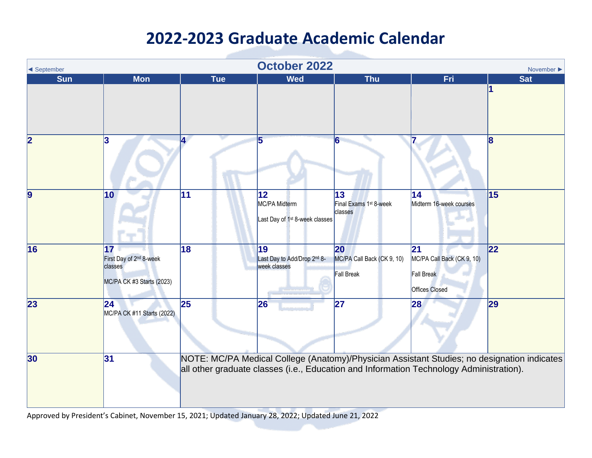| ◀ September             |                                                                                                |                 | <b>October 2022</b>                                               |                                                       |                                                                                         | November $\blacktriangleright$                                                              |
|-------------------------|------------------------------------------------------------------------------------------------|-----------------|-------------------------------------------------------------------|-------------------------------------------------------|-----------------------------------------------------------------------------------------|---------------------------------------------------------------------------------------------|
| <b>Sun</b>              | <b>Mon</b>                                                                                     | <b>Tue</b>      | <b>Wed</b>                                                        | <b>Thu</b>                                            | Fri                                                                                     | <b>Sat</b>                                                                                  |
| $\overline{\mathbf{2}}$ | 13                                                                                             | 4.              | 5                                                                 |                                                       |                                                                                         | $\mathbf{8}$                                                                                |
| 9                       | 10                                                                                             | 11              | 12<br>MC/PA Midterm<br>Last Day of 1 <sup>st</sup> 8-week classes | 13<br>Final Exams 1 <sup>st</sup> 8-week<br>classes   | $\overline{14}$<br>Midterm 16-week courses                                              | 15                                                                                          |
| 16                      | $\overline{17}$<br>First Day of 2 <sup>nd</sup> 8-week<br>classes<br>MC/PA CK #3 Starts (2023) | $\overline{18}$ | 19<br>Last Day to Add/Drop 2nd 8-<br>week classes                 | 20<br>MC/PA Call Back (CK 9, 10)<br><b>Fall Break</b> | 21<br>MC/PA Call Back (CK 9, 10)<br><b>Fall Break</b><br><b>Offices Closed</b>          | 22                                                                                          |
| 23                      | 24 <br>MC/PA CK #11 Starts (2022)                                                              | 25              | 26                                                                | 27                                                    | 28                                                                                      | 29                                                                                          |
| 30                      | 31                                                                                             |                 |                                                                   |                                                       | all other graduate classes (i.e., Education and Information Technology Administration). | NOTE: MC/PA Medical College (Anatomy)/Physician Assistant Studies; no designation indicates |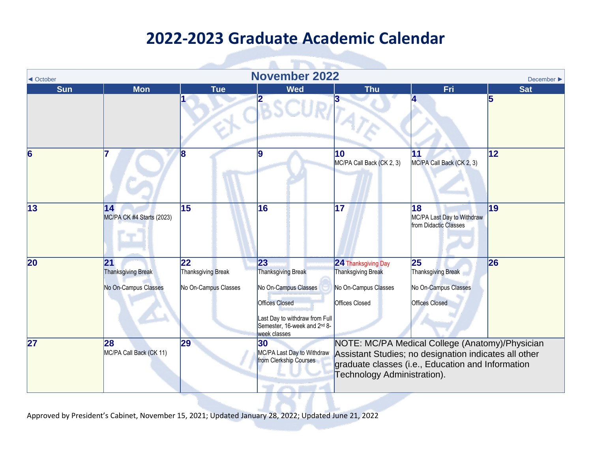and in

| ◀ October  | <b>November 2022</b><br>December $\blacktriangleright$ |                                                  |                                                                                                                                                                    |                                                                                                   |                                                                                                                                                               |            |  |  |  |  |
|------------|--------------------------------------------------------|--------------------------------------------------|--------------------------------------------------------------------------------------------------------------------------------------------------------------------|---------------------------------------------------------------------------------------------------|---------------------------------------------------------------------------------------------------------------------------------------------------------------|------------|--|--|--|--|
| <b>Sun</b> | <b>Mon</b>                                             | <b>Tue</b>                                       | <b>Wed</b>                                                                                                                                                         | <b>Thu</b>                                                                                        | Fri                                                                                                                                                           | <b>Sat</b> |  |  |  |  |
|            |                                                        |                                                  | 2                                                                                                                                                                  |                                                                                                   |                                                                                                                                                               |            |  |  |  |  |
| 6          |                                                        | 18                                               | 9                                                                                                                                                                  | 10<br>MC/PA Call Back (CK 2, 3)                                                                   | 11<br>MC/PA Call Back (CK 2, 3)                                                                                                                               | 12         |  |  |  |  |
| 13         | 14 <br>MC/PA CK #4 Starts (2023)                       | 15                                               | 16                                                                                                                                                                 | 17                                                                                                | 18<br>MC/PA Last Day to Withdraw<br>from Didactic Classes                                                                                                     | 19         |  |  |  |  |
| 20         | 21 <br>Thanksgiving Break<br>No On-Campus Classes      | 22<br>Thanksgiving Break<br>No On-Campus Classes | 23<br><b>Thanksgiving Break</b><br>No On-Campus Classes<br><b>Offices Closed</b><br>Last Day to withdraw from Full<br>Semester, 16-week and 2nd 8-<br>week classes | 24 Thanksgiving Day<br><b>Thanksgiving Break</b><br>No On-Campus Classes<br><b>Offices Closed</b> | 25<br>Thanksgiving Break<br>No On-Campus Classes<br><b>Offices Closed</b>                                                                                     | 26         |  |  |  |  |
| 27         | 28<br>MC/PA Call Back (CK 11)                          | 29                                               | 30 <sub>o</sub><br>MC/PA Last Day to Withdraw<br>from Clerkship Courses                                                                                            | Technology Administration).                                                                       | NOTE: MC/PA Medical College (Anatomy)/Physician<br>Assistant Studies; no designation indicates all other<br>graduate classes (i.e., Education and Information |            |  |  |  |  |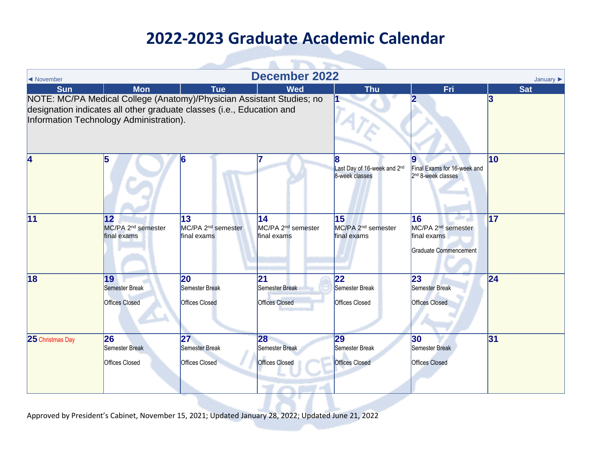| ◀ November                                                                                                                                                                                |                                                               |                                                     | <b>December 2022</b>                                |                                                           |                                                                              | January $\blacktriangleright$ |
|-------------------------------------------------------------------------------------------------------------------------------------------------------------------------------------------|---------------------------------------------------------------|-----------------------------------------------------|-----------------------------------------------------|-----------------------------------------------------------|------------------------------------------------------------------------------|-------------------------------|
| <b>Sun</b>                                                                                                                                                                                | <b>Mon</b>                                                    | <b>Tue</b>                                          | <b>Wed</b>                                          | <b>Thu</b>                                                | Fri                                                                          | <b>Sat</b>                    |
| NOTE: MC/PA Medical College (Anatomy)/Physician Assistant Studies; no<br>designation indicates all other graduate classes (i.e., Education and<br>Information Technology Administration). |                                                               |                                                     |                                                     |                                                           |                                                                              | 3                             |
| 4                                                                                                                                                                                         | 15                                                            |                                                     |                                                     | Last Day of 16-week and 2 <sup>nd</sup><br>8-week classes | Final Exams for 16-week and<br>2 <sup>nd</sup> 8-week classes                | $\overline{10}$               |
| 11                                                                                                                                                                                        | $ 12\rangle$<br>MC/PA 2 <sup>nd</sup> semester<br>final exams | 13<br>MC/PA 2 <sup>nd</sup> semester<br>final exams | 14<br>MC/PA 2 <sup>nd</sup> semester<br>final exams | 15<br>MC/PA 2 <sup>nd</sup> semester<br>final exams       | 16<br>MC/PA 2 <sup>nd</sup> semester<br>final exams<br>Graduate Commencement | $\overline{17}$               |
| 18                                                                                                                                                                                        | 19<br>Semester Break<br><b>Offices Closed</b>                 | 20<br>Semester Break<br><b>Offices Closed</b>       | 21<br>Semester Break<br><b>Offices Closed</b>       | $ 22\rangle$<br>Semester Break<br><b>Offices Closed</b>   | 23<br>Semester Break<br><b>Offices Closed</b>                                | 24                            |
| 25 Christmas Day                                                                                                                                                                          | 26<br>Semester Break<br><b>Offices Closed</b>                 | 27<br>Semester Break<br><b>Offices Closed</b>       | 28<br>Semester Break<br><b>Offices Closed</b>       | 29<br>Semester Break<br><b>Offices Closed</b>             | 30<br>Semester Break<br><b>Offices Closed</b>                                | 31                            |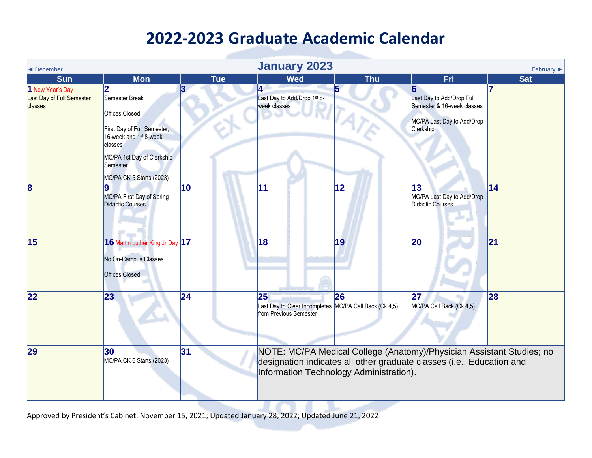<span id="page-8-0"></span>

| ◀ December                                               |                                                                                                                                                                                                    |            | <b>January 2023</b>                                                                    |                                         |                                                                                                                                                | February $\blacktriangleright$ |
|----------------------------------------------------------|----------------------------------------------------------------------------------------------------------------------------------------------------------------------------------------------------|------------|----------------------------------------------------------------------------------------|-----------------------------------------|------------------------------------------------------------------------------------------------------------------------------------------------|--------------------------------|
| <b>Sun</b>                                               | <b>Mon</b>                                                                                                                                                                                         | <b>Tue</b> | <b>Wed</b>                                                                             | <b>Thu</b>                              | <b>Fri</b>                                                                                                                                     | <b>Sat</b>                     |
| 1 New Year's Day<br>Last Day of Full Semester<br>classes | 2<br>Semester Break<br><b>Offices Closed</b><br>First Day of Full Semester,<br>16-week and 1 <sup>st</sup> 8-week<br>classes<br>MC/PA 1st Day of Clerkship<br>Semester<br>MC/PA CK 5 Starts (2023) | 12         | 4<br>Last Day to Add/Drop 1st 8-<br>week classes                                       | 5                                       | 6<br>Last Day to Add/Drop Full<br>Semester & 16-week classes<br>MC/PA Last Day to Add/Drop<br>Clerkship                                        |                                |
| $\vert 8$                                                | MC/PA First Day of Spring<br>Didactic Courses                                                                                                                                                      | 10         | 11                                                                                     | 12                                      | 13<br>MC/PA Last Day to Add/Drop<br><b>Didactic Courses</b>                                                                                    | 14                             |
| 15                                                       | 16 Martin Luther King Jr Day 17<br>No On-Campus Classes<br><b>Offices Closed</b>                                                                                                                   |            | 18                                                                                     | 19                                      | 20                                                                                                                                             | 21                             |
| 22                                                       | 23                                                                                                                                                                                                 | 24         | 25<br>Last Day to Clear Incompletes MC/PA Call Back (Ck 4,5)<br>from Previous Semester | 26                                      | 27<br>MC/PA Call Back (Ck 4,5)                                                                                                                 | 28                             |
| 29                                                       | 30<br>MC/PA CK 6 Starts (2023)                                                                                                                                                                     | 31         |                                                                                        | Information Technology Administration). | NOTE: MC/PA Medical College (Anatomy)/Physician Assistant Studies; no<br>designation indicates all other graduate classes (i.e., Education and |                                |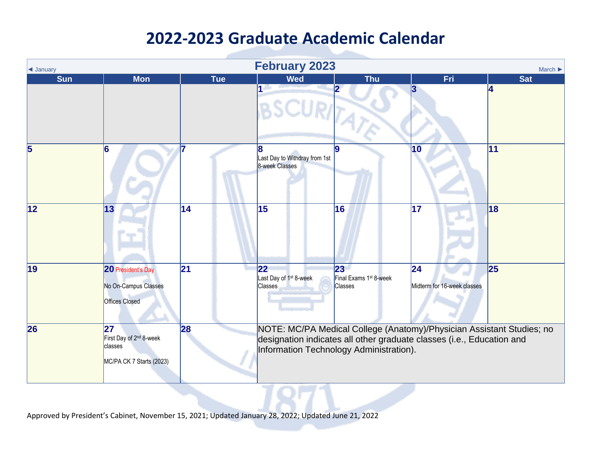| <b>E</b> January | <b>February 2023</b><br>March $\blacktriangleright$                              |                 |                                                             |                                                                      |                                                                                                                                                |                  |  |  |  |
|------------------|----------------------------------------------------------------------------------|-----------------|-------------------------------------------------------------|----------------------------------------------------------------------|------------------------------------------------------------------------------------------------------------------------------------------------|------------------|--|--|--|
| <b>Sun</b>       | <b>Mon</b>                                                                       | <b>Tue</b>      | <b>Wed</b>                                                  | <b>Thu</b>                                                           | <b>Fri</b>                                                                                                                                     | <b>Sat</b>       |  |  |  |
|                  |                                                                                  |                 | 1                                                           | RITATE                                                               | 3                                                                                                                                              | $\boldsymbol{A}$ |  |  |  |
| 5                | 6                                                                                |                 | 8<br>Last Day to Withdray from 1st<br>8-week Classes        | 19                                                                   | 10                                                                                                                                             | $\overline{11}$  |  |  |  |
| 12               | 13                                                                               | $\overline{14}$ | 15                                                          | 16                                                                   | 17                                                                                                                                             | 18               |  |  |  |
| 19               | 20 President's Day<br>No On-Campus Classes<br><b>Offices Closed</b>              | 21              | 22 <br>Last Day of 1 <sup>st</sup> 8-week<br><b>Classes</b> | $ 23\rangle$<br>Final Exams 1 <sup>st</sup> 8-week<br><b>Classes</b> | 24 <br>Midterm for 16-week classes                                                                                                             | 25               |  |  |  |
| 26               | 27<br>First Day of 2 <sup>nd</sup> 8-week<br>classes<br>MC/PA CK 7 Starts (2023) | 28              |                                                             | Information Technology Administration).                              | NOTE: MC/PA Medical College (Anatomy)/Physician Assistant Studies; no<br>designation indicates all other graduate classes (i.e., Education and |                  |  |  |  |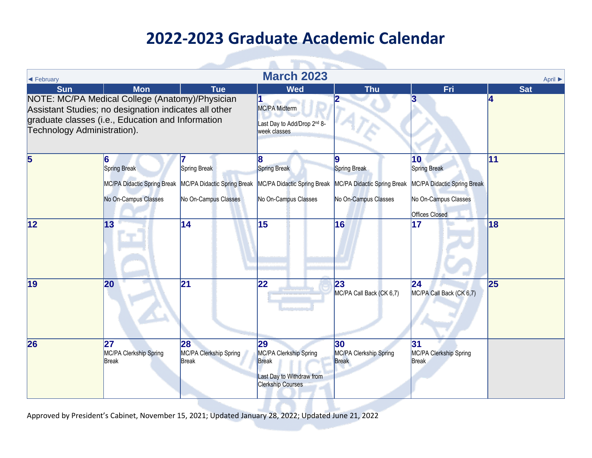| <b>March 2023</b>                                                                                                                                                                                                                      |                                              |                                                                                                                             |                                                                                                       |                                                                     |                                                                                             |         |  |  |  |
|----------------------------------------------------------------------------------------------------------------------------------------------------------------------------------------------------------------------------------------|----------------------------------------------|-----------------------------------------------------------------------------------------------------------------------------|-------------------------------------------------------------------------------------------------------|---------------------------------------------------------------------|---------------------------------------------------------------------------------------------|---------|--|--|--|
| ← February                                                                                                                                                                                                                             |                                              |                                                                                                                             |                                                                                                       |                                                                     |                                                                                             | April ▶ |  |  |  |
| <b>Sun</b><br><b>Mon</b><br><b>Tue</b><br>NOTE: MC/PA Medical College (Anatomy)/Physician<br>Assistant Studies; no designation indicates all other<br>graduate classes (i.e., Education and Information<br>Technology Administration). |                                              | <b>Wed</b><br>MC/PA Midterm<br>Last Day to Add/Drop 2nd 8-<br>week classes                                                  | <b>Thu</b>                                                                                            | Fri                                                                 | <b>Sat</b><br>4                                                                             |         |  |  |  |
| 5                                                                                                                                                                                                                                      | 6<br>Spring Break<br>No On-Campus Classes    | Spring Break<br>MC/PA Didactic Spring Break MC/PA Didactic Spring Break MC/PA Didactic Spring Break<br>No On-Campus Classes | 8<br>Spring Break<br>No On-Campus Classes                                                             | Spring Break<br>MC/PA Didactic Spring Break<br>No On-Campus Classes | 10<br>Spring Break<br>MC/PA Didactic Spring Break<br>No On-Campus Classes<br>Offices Closed | 11      |  |  |  |
| $ 12\rangle$                                                                                                                                                                                                                           | $\vert$ 13                                   | 14                                                                                                                          | 15                                                                                                    | 16                                                                  | 17                                                                                          | 18      |  |  |  |
| 19                                                                                                                                                                                                                                     | 20                                           | 21                                                                                                                          | 22                                                                                                    | 23<br>MC/PA Call Back (CK 6,7)                                      | 24 <br>MC/PA Call Back (CK 6,7)                                                             | 25      |  |  |  |
| 26                                                                                                                                                                                                                                     | 27<br>MC/PA Clerkship Spring<br><b>Break</b> | 28<br>MC/PA Clerkship Spring<br>Break                                                                                       | 29<br>MC/PA Clerkship Spring<br><b>Break</b><br>Last Day to Withdraw from<br><b>Clerkship Courses</b> | 30<br>MC/PA Clerkship Spring<br><b>Break</b>                        | 31<br>MC/PA Clerkship Spring<br><b>Break</b>                                                |         |  |  |  |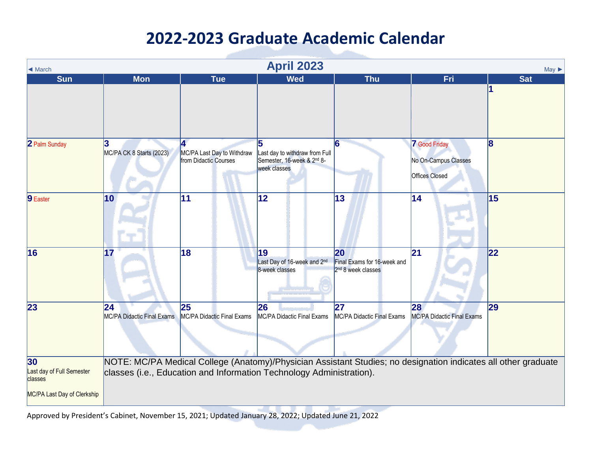| ◀ March                                                                   | <b>April 2023</b><br>$May \triangleright$ |                                                     |                                                                                   |                                                                     |                                                                                                                |                         |  |  |  |
|---------------------------------------------------------------------------|-------------------------------------------|-----------------------------------------------------|-----------------------------------------------------------------------------------|---------------------------------------------------------------------|----------------------------------------------------------------------------------------------------------------|-------------------------|--|--|--|
| <b>Sun</b>                                                                | <b>Mon</b>                                | <b>Tue</b>                                          | <b>Wed</b>                                                                        | <b>Thu</b>                                                          | Fri                                                                                                            | <b>Sat</b>              |  |  |  |
|                                                                           |                                           |                                                     |                                                                                   |                                                                     |                                                                                                                |                         |  |  |  |
| 2 Palm Sunday                                                             | 3<br>MC/PA CK 8 Starts (2023)             | MC/PA Last Day to Withdraw<br>from Didactic Courses | 5<br>Last day to withdraw from Full<br>Semester, 16-week & 2nd 8-<br>week classes |                                                                     | <b>7</b> Good Friday<br>No On-Campus Classes<br><b>Offices Closed</b>                                          | $\overline{\mathbf{8}}$ |  |  |  |
| 9 Easter                                                                  | 10                                        | 11                                                  | 12                                                                                | 13                                                                  | 14                                                                                                             | 15                      |  |  |  |
| 16                                                                        | 17                                        | 18                                                  | 19<br>Last Day of 16-week and 2nd<br>8-week classes                               | 20<br>Final Exams for 16-week and<br>2 <sup>nd</sup> 8 week classes | 21                                                                                                             | 22                      |  |  |  |
| 23                                                                        | 24 <br>MC/PA Didactic Final Exams         | 25<br>MC/PA Didactic Final Exams                    | 26<br>MC/PA Didactic Final Exams                                                  | 27<br>MC/PA Didactic Final Exams                                    | 28<br><b>MC/PA Didactic Final Exams</b>                                                                        | 29                      |  |  |  |
| 30<br>Last day of Full Semester<br>classes<br>MC/PA Last Day of Clerkship |                                           |                                                     | classes (i.e., Education and Information Technology Administration).              |                                                                     | NOTE: MC/PA Medical College (Anatomy)/Physician Assistant Studies; no designation indicates all other graduate |                         |  |  |  |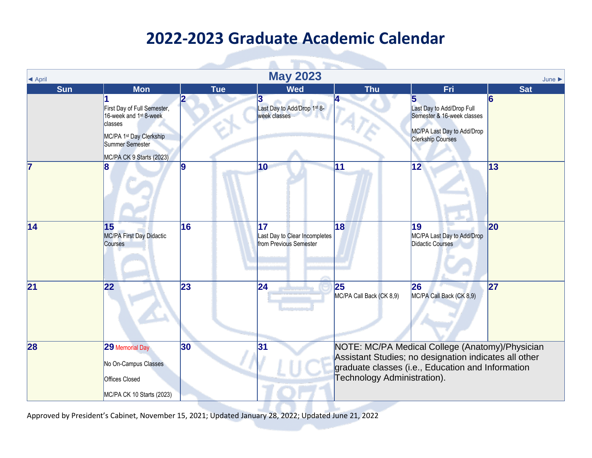| <b>May 2023</b>              |                                                                                                                                                        |              |                                                               |                                |                                                                                                                                                               |                    |  |  |  |
|------------------------------|--------------------------------------------------------------------------------------------------------------------------------------------------------|--------------|---------------------------------------------------------------|--------------------------------|---------------------------------------------------------------------------------------------------------------------------------------------------------------|--------------------|--|--|--|
| <b>E</b> April<br><b>Sun</b> | <b>Mon</b>                                                                                                                                             | <b>Tue</b>   | <b>Wed</b>                                                    | <b>Thu</b>                     | Fri                                                                                                                                                           | June<br><b>Sat</b> |  |  |  |
|                              | First Day of Full Semester,<br>16-week and 1 <sup>st</sup> 8-week<br>classes<br>MC/PA 1st Day Clerkship<br>Summer Semester<br>MC/PA CK 9 Starts (2023) |              | 3<br>Last Day to Add/Drop 1st 8-<br>week classes              |                                | Last Day to Add/Drop Full<br>Semester & 16-week classes<br>MC/PA Last Day to Add/Drop<br><b>Clerkship Courses</b>                                             | $\overline{6}$     |  |  |  |
| 7                            |                                                                                                                                                        | 9            | 10                                                            | $\overline{11}$                | $\overline{12}$                                                                                                                                               | 13                 |  |  |  |
| $\overline{14}$              | 15<br>MC/PA First Day Didactic<br><b>Courses</b>                                                                                                       | 16           | 17<br>Last Day to Clear Incompletes<br>from Previous Semester | 18                             | 19<br>MC/PA Last Day to Add/Drop<br>Didactic Courses                                                                                                          | 20                 |  |  |  |
| 21                           | 22                                                                                                                                                     | 23           | 24                                                            | 25<br>MC/PA Call Back (CK 8,9) | 26<br>MC/PA Call Back (CK 8,9)                                                                                                                                | 27                 |  |  |  |
| 28                           | 29 Memorial Day<br>No On-Campus Classes<br><b>Offices Closed</b><br>MC/PA CK 10 Starts (2023)                                                          | $ 30\rangle$ | 31                                                            | Technology Administration).    | NOTE: MC/PA Medical College (Anatomy)/Physician<br>Assistant Studies; no designation indicates all other<br>graduate classes (i.e., Education and Information |                    |  |  |  |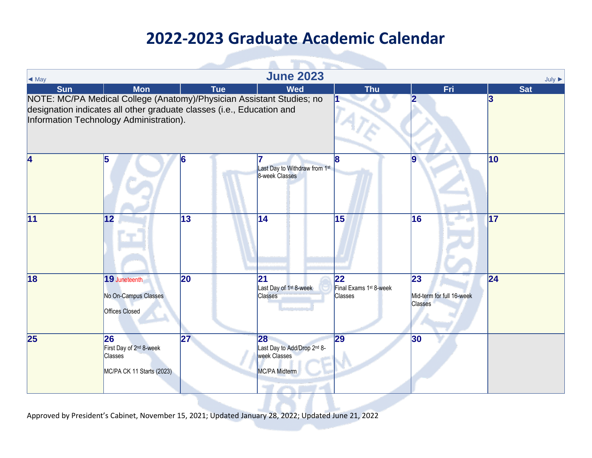| $\blacktriangleleft$ May                                                                                                                                                                  |                                                                                          |            | <b>June 2023</b>                                                   |                                                            |                                                   | $July \triangleright$ |
|-------------------------------------------------------------------------------------------------------------------------------------------------------------------------------------------|------------------------------------------------------------------------------------------|------------|--------------------------------------------------------------------|------------------------------------------------------------|---------------------------------------------------|-----------------------|
| <b>Sun</b>                                                                                                                                                                                | <b>Mon</b>                                                                               | <b>Tue</b> | <b>Wed</b>                                                         | <b>Thu</b>                                                 | Fri                                               | <b>Sat</b>            |
| NOTE: MC/PA Medical College (Anatomy)/Physician Assistant Studies; no<br>designation indicates all other graduate classes (i.e., Education and<br>Information Technology Administration). |                                                                                          |            |                                                                    |                                                            |                                                   | 3                     |
| 4                                                                                                                                                                                         | 5                                                                                        | 6          | Last Day to Withdraw from 1st<br>8-week Classes                    |                                                            |                                                   | 10                    |
| 11                                                                                                                                                                                        | $ 12\rangle$                                                                             | 13         | 14                                                                 | 15                                                         | 16                                                | 17                    |
| 18                                                                                                                                                                                        | 19 Juneteenth<br>No On-Campus Classes<br><b>Offices Closed</b>                           | 20         | $\overline{21}$<br>Last Day of 1 <sup>st</sup> 8-week<br>Classes   | 22<br>Final Exams 1 <sup>st</sup> 8-week<br><b>Classes</b> | 23<br>Mid-term for full 16-week<br><b>Classes</b> | 24                    |
| 25                                                                                                                                                                                        | 26<br>First Day of 2 <sup>nd</sup> 8-week<br><b>Classes</b><br>MC/PA CK 11 Starts (2023) | 27         | 28<br>Last Day to Add/Drop 2nd 8-<br>week Classes<br>MC/PA Midterm | $\mathbf{29}$                                              | 30                                                |                       |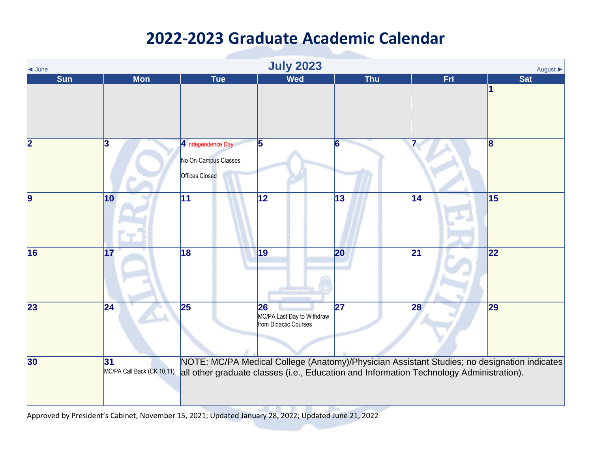